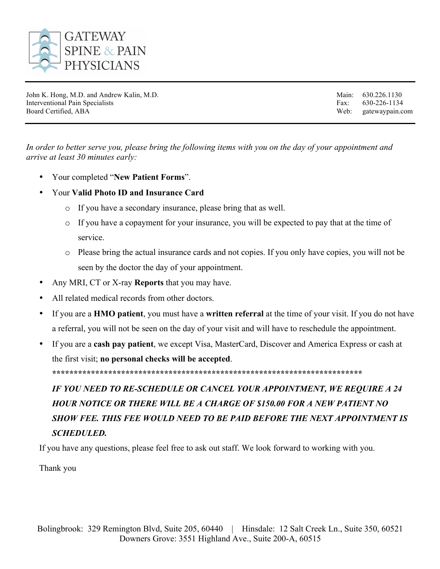

| John K. Hong, M.D. and Andrew Kalin, M.D.<br>Interventional Pain Specialists<br>Board Certified, ABA | Main: 630.226.1130<br>Fax: $630-226-1134$<br>Web: gatewaypain.com |
|------------------------------------------------------------------------------------------------------|-------------------------------------------------------------------|
|                                                                                                      |                                                                   |

*In order to better serve you, please bring the following items with you on the day of your appointment and arrive at least 30 minutes early:* 

- Your completed "**New Patient Forms**".
- Your **Valid Photo ID and Insurance Card**
	- o If you have a secondary insurance, please bring that as well.
	- o If you have a copayment for your insurance, you will be expected to pay that at the time of service.
	- o Please bring the actual insurance cards and not copies. If you only have copies, you will not be seen by the doctor the day of your appointment.
- Any MRI, CT or X-ray **Reports** that you may have.
- All related medical records from other doctors.
- If you are a **HMO patient**, you must have a **written referral** at the time of your visit. If you do not have a referral, you will not be seen on the day of your visit and will have to reschedule the appointment.
- If you are a **cash pay patient**, we except Visa, MasterCard, Discover and America Express or cash at the first visit; **no personal checks will be accepted**.

**\*\*\*\*\*\*\*\*\*\*\*\*\*\*\*\*\*\*\*\*\*\*\*\*\*\*\*\*\*\*\*\*\*\*\*\*\*\*\*\*\*\*\*\*\*\*\*\*\*\*\*\*\*\*\*\*\*\*\*\*\*\*\*\*\*\*\*\*\*\*\*\***

*IF YOU NEED TO RE-SCHEDULE OR CANCEL YOUR APPOINTMENT, WE REQUIRE A 24 HOUR NOTICE OR THERE WILL BE A CHARGE OF \$150.00 FOR A NEW PATIENT NO SHOW FEE. THIS FEE WOULD NEED TO BE PAID BEFORE THE NEXT APPOINTMENT IS SCHEDULED.*

If you have any questions, please feel free to ask out staff. We look forward to working with you.

Thank you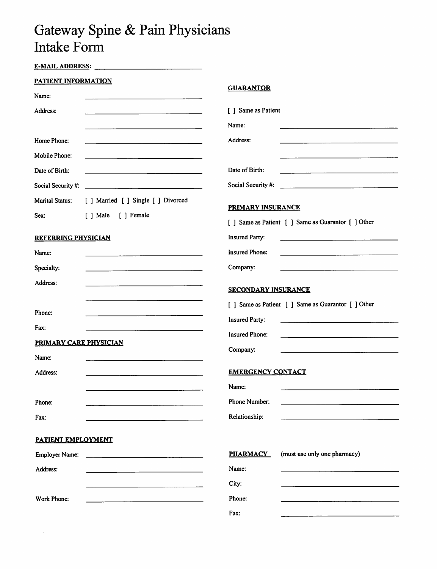# Gateway Spine & Pain Physicians Intake Form

# E-MAIL ADDRESS:

| PATIENT INFORMATION                                                                                |                                                                                                                                                |
|----------------------------------------------------------------------------------------------------|------------------------------------------------------------------------------------------------------------------------------------------------|
| Name:                                                                                              | <b>GUARANTOR</b>                                                                                                                               |
| Address:                                                                                           | [ ] Same as Patient                                                                                                                            |
|                                                                                                    | Name:                                                                                                                                          |
| Home Phone:<br><u> 1980 - Jan Sterlin Berlin, Amerikaansk kanton (</u>                             | Address:                                                                                                                                       |
| <b>Mobile Phone:</b>                                                                               |                                                                                                                                                |
| Date of Birth:<br><u> 1980 - Jan Sterling, amerikansk politiker (</u>                              | Date of Birth:                                                                                                                                 |
| Social Security #:                                                                                 | Social Security #: $\qquad \qquad$                                                                                                             |
| [ ] Married [ ] Single [ ] Divorced<br><b>Marital Status:</b>                                      | <b>PRIMARY INSURANCE</b>                                                                                                                       |
| [ ] Female<br>[ ] Male<br>Sex:                                                                     |                                                                                                                                                |
|                                                                                                    | [ ] Same as Patient [ ] Same as Guarantor [ ] Other                                                                                            |
| <b>REFERRING PHYSICIAN</b>                                                                         | <b>Insured Party:</b><br><u> 1989 - Johann Barbara, martin amerikan basar dan berasal dalam basa dalam basar dalam basar dalam basar dalam</u> |
| Name:<br>the control of the control of the control of the control of the control of the control of | <b>Insured Phone:</b>                                                                                                                          |
| Specialty:<br><u> 1980 - Jan Barnett, fransk politiker (d. 1980)</u>                               | Company:                                                                                                                                       |
| Address:                                                                                           | <b>SECONDARY INSURANCE</b>                                                                                                                     |
|                                                                                                    |                                                                                                                                                |
| Phone:                                                                                             | [ ] Same as Patient [ ] Same as Guarantor [ ] Other                                                                                            |
| Fax:                                                                                               | <b>Insured Party:</b><br>the control of the control of the control of the control of the control of the control of                             |
| <b>PRIMARY CARE PHYSICIAN</b>                                                                      | <b>Insured Phone:</b><br>the contract of the contract of the contract of the contract of                                                       |
|                                                                                                    | Company:                                                                                                                                       |
| Name:                                                                                              |                                                                                                                                                |
| Address:                                                                                           | <b>EMERGENCY CONTACT</b>                                                                                                                       |
|                                                                                                    | Name:                                                                                                                                          |
| Phone:                                                                                             | Phone Number:                                                                                                                                  |
| Fax:                                                                                               | Relationship:                                                                                                                                  |
| PATIENT EMPLOYMENT                                                                                 |                                                                                                                                                |
| <b>Employer Name:</b><br><u> 1980 - Andrea Stadt Britain, amerikansk politik (</u>                 | <b>PHARMACY</b><br>(must use only one pharmacy)                                                                                                |
| Address:                                                                                           | Name:                                                                                                                                          |
|                                                                                                    | City:                                                                                                                                          |
| Work Phone:                                                                                        | Phone:                                                                                                                                         |
|                                                                                                    | Fax:                                                                                                                                           |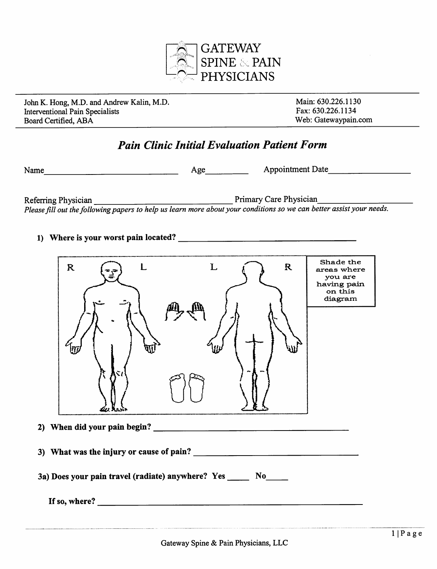

John K. Hong, M.D. and Andrew Kalin, M.D. **Interventional Pain Specialists** Board Certified, ABA

Main: 630.226.1130 Fax: 630.226.1134 Web: Gatewaypain.com

# **Pain Clinic Initial Evaluation Patient Form**

Name  $\qquad \qquad$ 

Age Appointment Date

Referring Physician <u>Filmary Care Physician</u><br>Primary Care Physician Please fill out the following papers to help us learn more about your conditions so we can better assist your needs.

| L<br>$\mathbf R$<br>R                                                                                                             | Shade the<br>areas where<br>you are<br>having pain<br>on this<br>diagram |
|-----------------------------------------------------------------------------------------------------------------------------------|--------------------------------------------------------------------------|
|                                                                                                                                   |                                                                          |
| 2) When did your pain begin?<br>3a) Does your pain travel (radiate) anywhere? Yes ______ No_____<br>If so, where? $\qquad \qquad$ |                                                                          |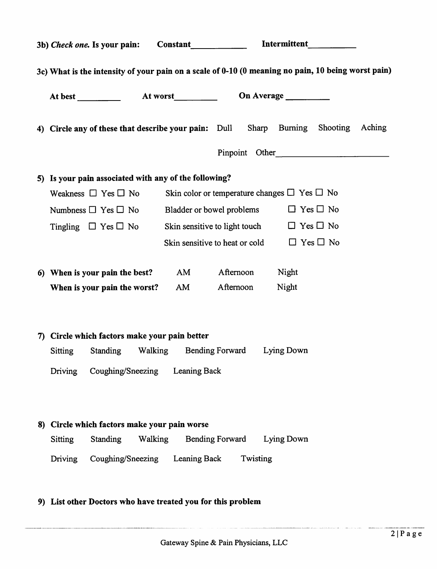|                                                                                                    | 3b) Check one. Is your pain: Constant_________________ Intermittent_____________ |                                                        |                 |          |            |                |        |
|----------------------------------------------------------------------------------------------------|----------------------------------------------------------------------------------|--------------------------------------------------------|-----------------|----------|------------|----------------|--------|
| 3c) What is the intensity of your pain on a scale of 0-10 (0 meaning no pain, 10 being worst pain) |                                                                                  |                                                        |                 |          |            |                |        |
|                                                                                                    |                                                                                  |                                                        |                 |          |            |                |        |
|                                                                                                    | 4) Circle any of these that describe your pain: Dull Sharp Burning Shooting      |                                                        |                 |          |            |                | Aching |
|                                                                                                    |                                                                                  |                                                        |                 |          |            | Pinpoint Other |        |
|                                                                                                    | 5) Is your pain associated with any of the following?                            |                                                        |                 |          |            |                |        |
|                                                                                                    | Weakness $\Box$ Yes $\Box$ No                                                    | Skin color or temperature changes $\Box$ Yes $\Box$ No |                 |          |            |                |        |
|                                                                                                    | Numbness $\Box$ Yes $\Box$ No Bladder or bowel problems $\Box$ Yes $\Box$ No     |                                                        |                 |          |            |                |        |
|                                                                                                    | Tingling $\Box$ Yes $\Box$ No Skin sensitive to light touch $\Box$ Yes $\Box$ No |                                                        |                 |          |            |                |        |
|                                                                                                    |                                                                                  | Skin sensitive to heat or cold $\Box$ Yes $\Box$ No    |                 |          |            |                |        |
|                                                                                                    |                                                                                  |                                                        |                 |          |            |                |        |
|                                                                                                    | 6) When is your pain the best?                                                   | AM                                                     | Afternoon       |          | Night      |                |        |
|                                                                                                    | When is your pain the worst?                                                     | AM                                                     | Afternoon       |          | Night      |                |        |
|                                                                                                    |                                                                                  |                                                        |                 |          |            |                |        |
|                                                                                                    | 7) Circle which factors make your pain better                                    |                                                        |                 |          |            |                |        |
|                                                                                                    | Sitting Standing Walking Bending Forward Lying Down                              |                                                        |                 |          |            |                |        |
|                                                                                                    | Coughing/Sneezing Leaning Back<br>Driving                                        |                                                        |                 |          |            |                |        |
|                                                                                                    |                                                                                  |                                                        |                 |          |            |                |        |
|                                                                                                    |                                                                                  |                                                        |                 |          |            |                |        |
|                                                                                                    | 8) Circle which factors make your pain worse                                     |                                                        |                 |          |            |                |        |
|                                                                                                    | <b>Standing</b><br>Walking<br>Sitting                                            |                                                        | Bending Forward |          | Lying Down |                |        |
|                                                                                                    | Coughing/Sneezing<br>Driving                                                     | Leaning Back                                           |                 | Twisting |            |                |        |
|                                                                                                    |                                                                                  |                                                        |                 |          |            |                |        |

# 9) List other Doctors who have treated you for this problem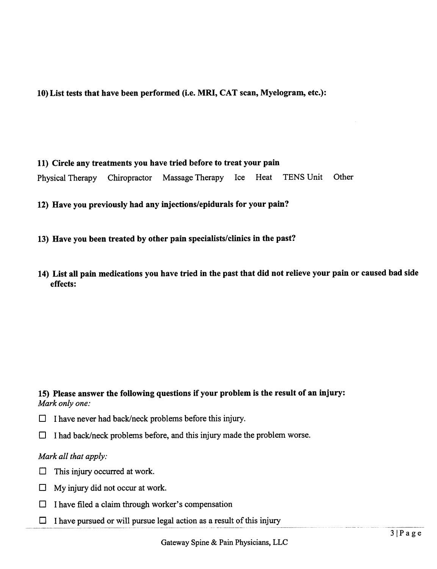10) List tests that have been performed (i.e. MRI, CAT scan, Myelogram, etc.):

### 11) Circle any treatments you have tried before to treat your pain

**TENS Unit** Other Physical Therapy Chiropractor Massage Therapy Ice Heat

12) Have you previously had any injections/epidurals for your pain?

- 13) Have you been treated by other pain specialists/clinics in the past?
- 14) List all pain medications you have tried in the past that did not relieve your pain or caused bad side effects:

### 15) Please answer the following questions if your problem is the result of an injury: Mark only one:

- $\Box$  I have never had back/neck problems before this injury.
- $\Box$ I had back/neck problems before, and this injury made the problem worse.

### Mark all that apply:

- $\Box$  This injury occurred at work.
- $\Box$  My injury did not occur at work.
- $\Box$  I have filed a claim through worker's compensation
- $\Box$  I have pursued or will pursue legal action as a result of this injury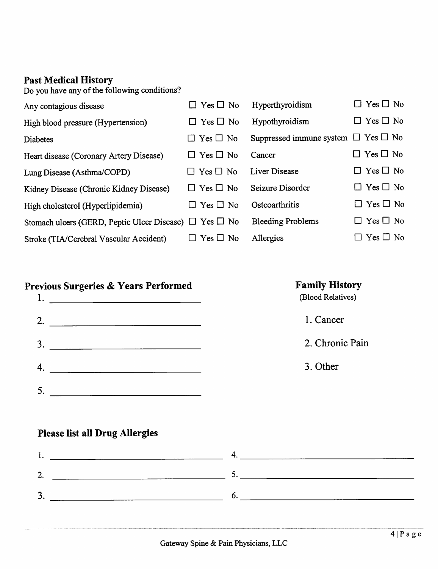### **Past Medical History**

Do you have any of the following conditions?

| Any contagious disease                                           | $\Box$ Yes $\Box$ No     | Hyperthyroidism                               | $\Box$ Yes $\Box$ No |
|------------------------------------------------------------------|--------------------------|-----------------------------------------------|----------------------|
| High blood pressure (Hypertension)                               | $\Box$ Yes $\Box$ No     | Hypothyroidism                                | $\Box$ Yes $\Box$ No |
| Diabetes                                                         | $\Box$ Yes $\Box$ No     | Suppressed immune system $\Box$ Yes $\Box$ No |                      |
| Heart disease (Coronary Artery Disease)                          | $\Box$ Yes $\Box$ No     | Cancer                                        | $\Box$ Yes $\Box$ No |
| Lung Disease (Asthma/COPD)                                       | $\Box$ Yes $\Box$ No     | Liver Disease                                 | $\Box$ Yes $\Box$ No |
| Kidney Disease (Chronic Kidney Disease)                          | $Yes \Box No$<br>$\perp$ | Seizure Disorder                              | $\Box$ Yes $\Box$ No |
| High cholesterol (Hyperlipidemia)                                | $\Box$ Yes $\Box$ No     | Osteoarthritis                                | $\Box$ Yes $\Box$ No |
| Stomach ulcers (GERD, Peptic Ulcer Disease) $\Box$ Yes $\Box$ No |                          | <b>Bleeding Problems</b>                      | $\Box$ Yes $\Box$ No |
| Stroke (TIA/Cerebral Vascular Accident)                          | $Yes \Box No$            | Allergies                                     | $\Box$ Yes $\Box$ No |

# Previous Surgeries & Years Performed

| 1.          |
|-------------|
| 2. $\qquad$ |
| 3.          |
| 4.          |
| 5.          |

**Family History** (Blood Relatives)

1. Cancer

2. Chronic Pain

3. Other

### **Please list all Drug Allergies**

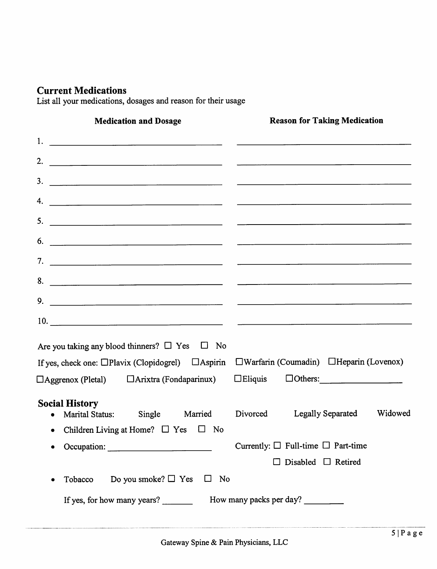# **Current Medications**

List all your medications, dosages and reason for their usage

| <b>Medication and Dosage</b>                                                                                                                                                                                                               | <b>Reason for Taking Medication</b>             |
|--------------------------------------------------------------------------------------------------------------------------------------------------------------------------------------------------------------------------------------------|-------------------------------------------------|
|                                                                                                                                                                                                                                            |                                                 |
|                                                                                                                                                                                                                                            |                                                 |
| 3.<br><u> Andrew State (1989), state and the state of the state of the state of the state of the state of the state of the state of the state of the state of the state of the state of the state of the state of the state of the sta</u> |                                                 |
| 4.<br><u> 1999 - Jan Alexander Stadt Stadt for de Stadt Stadt Stadt Stadt Stadt Stadt Stadt Stadt Stadt Stadt Stadt Stadt Stadt Stadt Stadt Stadt Stadt Stadt Stadt Stadt Stadt Stadt Stadt Stadt Stadt Stadt Stadt Stadt Stadt Stadt </u> |                                                 |
| 5. $\overline{\phantom{a}}$                                                                                                                                                                                                                |                                                 |
|                                                                                                                                                                                                                                            |                                                 |
|                                                                                                                                                                                                                                            |                                                 |
|                                                                                                                                                                                                                                            |                                                 |
| 9. $\overline{\phantom{a}}$                                                                                                                                                                                                                |                                                 |
| $\frac{10}{2}$                                                                                                                                                                                                                             |                                                 |
| Are you taking any blood thinners? $\Box$ Yes $\Box$ No                                                                                                                                                                                    |                                                 |
| If yes, check one: $\Box$ Plavix (Clopidogrel) $\Box$ Aspirin $\Box$ Warfarin (Coumadin) $\Box$ Heparin (Lovenox)                                                                                                                          |                                                 |
| $\Box$ Aggrenox (Pletal) $\Box$ Arixtra (Fondaparinux) $\Box$ Eliquis $\Box$ Others:                                                                                                                                                       |                                                 |
| <b>Social History</b><br>Marital Status: Single Married                                                                                                                                                                                    | <b>Legally Separated</b><br>Widowed<br>Divorced |
| • Children Living at Home? $\Box$ Yes $\Box$ No                                                                                                                                                                                            |                                                 |
| Occupation:                                                                                                                                                                                                                                | Currently: $\Box$ Full-time $\Box$ Part-time    |
|                                                                                                                                                                                                                                            | $\Box$ Disabled $\Box$ Retired                  |
| Do you smoke? $\Box$ Yes $\Box$ No<br>Tobacco                                                                                                                                                                                              |                                                 |
|                                                                                                                                                                                                                                            |                                                 |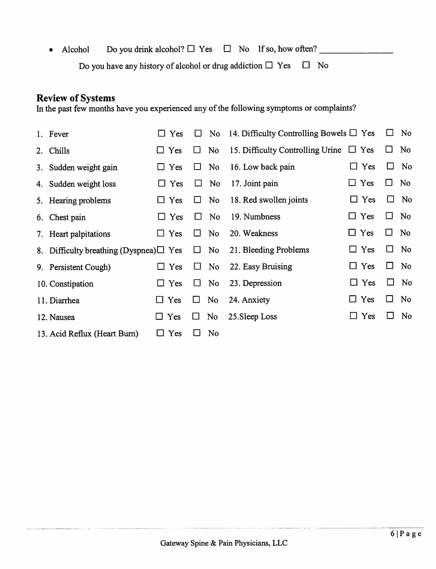|  |  | • Alcohol Do you drink alcohol? $\Box$ Yes $\Box$ No If so, how often? |  |  |  |  |
|--|--|------------------------------------------------------------------------|--|--|--|--|
|--|--|------------------------------------------------------------------------|--|--|--|--|

Do you have any history of alcohol or drug addiction  $\Box$  Yes  $\Box$  No

# **Review of Systems**

In the past few months have you experienced any of the following symptoms or complaints?

| 1. Fever                                     | $\Box$ Yes     |              | No             | 14. Difficulty Controlling Bowels $\Box$ Yes |                     |        | <b>No</b> |
|----------------------------------------------|----------------|--------------|----------------|----------------------------------------------|---------------------|--------|-----------|
| 2. Chills                                    | Yes<br>$\Box$  | $\Box$       | No             | 15. Difficulty Controlling Urine $\Box$ Yes  |                     | ப      | No        |
| 3. Sudden weight gain                        | $\Box$ Yes     | $\Box$       | No             | 16. Low back pain                            | Yes<br>$\mathsf{L}$ | ப      | No        |
| 4. Sudden weight loss                        | Yes<br>$\perp$ | ப            | No             | 17. Joint pain                               | Yes<br>ப            | $\Box$ | <b>No</b> |
| 5. Hearing problems                          | $\Box$ Yes     | ⊔            | No             | 18. Red swollen joints                       | Yes<br>$\Box$       | □      | No        |
| 6. Chest pain                                | Yes<br>$\perp$ | $\mathbf{1}$ | N <sub>0</sub> | 19. Numbness                                 | Yes<br>$\Box$       | $\Box$ | <b>No</b> |
| 7. Heart palpitations                        | Yes<br>LΙ      | $\Box$       | N <sub>o</sub> | 20. Weakness                                 | Yes<br>□            | $\Box$ | No        |
| 8. Difficulty breathing (Dyspnea) $\Box$ Yes |                | $\Box$       | No             | 21. Bleeding Problems                        | $\Box$ Yes          | Ц      | <b>No</b> |
| 9. Persistent Cough)                         | $\Box$ Yes     | $\Box$       | No             | 22. Easy Bruising                            | $\Box$ Yes          | $\Box$ | <b>No</b> |
| 10. Constipation                             | Yes<br>ப       | $\Box$       | No             | 23. Depression                               | Yes<br>$\Box$       | $\Box$ | <b>No</b> |
| 11. Diarrhea                                 | Yes<br>$\Box$  | ⊔            | No             | 24. Anxiety                                  | Yes<br>ப            | $\Box$ | No        |
| 12. Nausea                                   | Yes<br>$\Box$  | $\Box$       | No             | 25. Sleep Loss                               | Yes<br>$\perp$      | $\Box$ | No        |
| 13. Acid Reflux (Heart Burn)                 | Yes<br>ப       | $\mathsf{L}$ | N <sub>o</sub> |                                              |                     |        |           |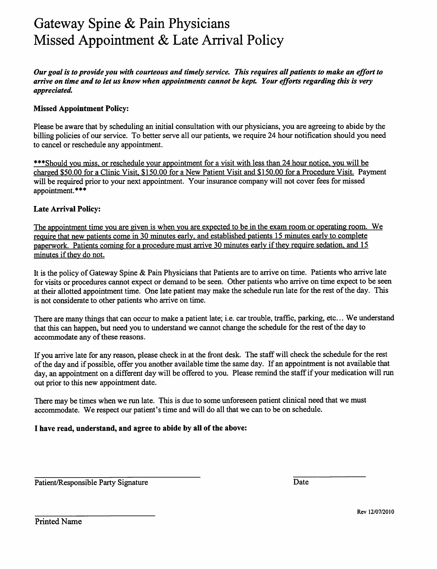# Gateway Spine & Pain Physicians Missed Appointment & Late Arrival Policy

Our goal is to provide you with courteous and timely service. This requires all patients to make an effort to arrive on time and to let us know when appointments cannot be kept. Your efforts regarding this is very appreciated.

### **Missed Appointment Policy:**

Please be aware that by scheduling an initial consultation with our physicians, you are agreeing to abide by the billing policies of our service. To better serve all our patients, we require 24 hour notification should you need to cancel or reschedule any appointment.

\*\*\*Should you miss, or reschedule your appointment for a visit with less than 24 hour notice, you will be charged \$50.00 for a Clinic Visit, \$150.00 for a New Patient Visit and \$150.00 for a Procedure Visit. Payment will be required prior to your next appointment. Your insurance company will not cover fees for missed appointment.\*\*\*

### **Late Arrival Policy:**

The appointment time you are given is when you are expected to be in the exam room or operating room. We require that new patients come in 30 minutes early, and established patients 15 minutes early to complete paperwork. Patients coming for a procedure must arrive 30 minutes early if they require sedation, and 15 minutes if they do not.

It is the policy of Gateway Spine & Pain Physicians that Patients are to arrive on time. Patients who arrive late for visits or procedures cannot expect or demand to be seen. Other patients who arrive on time expect to be seen at their allotted appointment time. One late patient may make the schedule run late for the rest of the day. This is not considerate to other patients who arrive on time.

There are many things that can occur to make a patient late; i.e. car trouble, traffic, parking, etc... We understand that this can happen, but need you to understand we cannot change the schedule for the rest of the day to accommodate any of these reasons.

If you arrive late for any reason, please check in at the front desk. The staff will check the schedule for the rest of the day and if possible, offer you another available time the same day. If an appointment is not available that day, an appointment on a different day will be offered to you. Please remind the staff if your medication will run out prior to this new appointment date.

There may be times when we run late. This is due to some unforeseen patient clinical need that we must accommodate. We respect our patient's time and will do all that we can to be on schedule.

### I have read, understand, and agree to abide by all of the above:

Patient/Responsible Party Signature

Date

**Printed Name**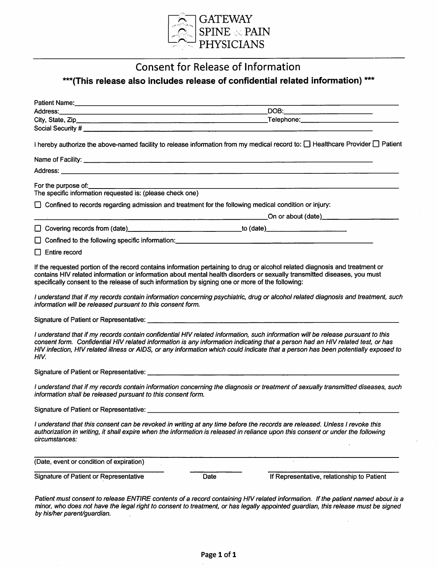

## **Consent for Release of Information**

# \*\*\* (This release also includes release of confidential related information) \*\*\*

| Address:                                                                                                                                                                                                                             |                                                                                                                                                                                                                                                                                                                                                                                                        |
|--------------------------------------------------------------------------------------------------------------------------------------------------------------------------------------------------------------------------------------|--------------------------------------------------------------------------------------------------------------------------------------------------------------------------------------------------------------------------------------------------------------------------------------------------------------------------------------------------------------------------------------------------------|
|                                                                                                                                                                                                                                      | _Telephone:_______________________________                                                                                                                                                                                                                                                                                                                                                             |
|                                                                                                                                                                                                                                      |                                                                                                                                                                                                                                                                                                                                                                                                        |
|                                                                                                                                                                                                                                      | I hereby authorize the above-named facility to release information from my medical record to: $\Box$ Healthcare Provider $\Box$ Patient                                                                                                                                                                                                                                                                |
|                                                                                                                                                                                                                                      |                                                                                                                                                                                                                                                                                                                                                                                                        |
| Address: <u>Address: Address: Address: Address: Address: Address: Address: Address: Address: Address: Address: Address: Address: Address: Address: Address: Address: Address: Address: Address: Address: Address: Address: Addre</u> |                                                                                                                                                                                                                                                                                                                                                                                                        |
| For the purpose of:<br>The specific information requested is: (please check one)                                                                                                                                                     |                                                                                                                                                                                                                                                                                                                                                                                                        |
|                                                                                                                                                                                                                                      | $\Box$ Confined to records regarding admission and treatment for the following medical condition or injury:                                                                                                                                                                                                                                                                                            |
|                                                                                                                                                                                                                                      |                                                                                                                                                                                                                                                                                                                                                                                                        |
|                                                                                                                                                                                                                                      | □ Covering records from (date)__________________________________to (date)___________________________                                                                                                                                                                                                                                                                                                   |
|                                                                                                                                                                                                                                      |                                                                                                                                                                                                                                                                                                                                                                                                        |
| I I Entire record                                                                                                                                                                                                                    |                                                                                                                                                                                                                                                                                                                                                                                                        |
| specifically consent to the release of such information by signing one or more of the following:                                                                                                                                     | If the requested portion of the record contains information pertaining to drug or alcohol related diagnosis and treatment or<br>contains HIV related information or information about mental health disorders or sexually transmitted diseases, you must                                                                                                                                               |
| information will be released pursuant to this consent form.                                                                                                                                                                          | I understand that if my records contain information concerning psychiatric, drug or alcohol related diagnosis and treatment, such                                                                                                                                                                                                                                                                      |
|                                                                                                                                                                                                                                      |                                                                                                                                                                                                                                                                                                                                                                                                        |
| HIV.                                                                                                                                                                                                                                 | I understand that if my records contain confidential HIV related information, such information will be release pursuant to this<br>consent form. Confidential HIV related information is any information indicating that a person had an HIV related test, or has<br>HIV infection, HIV related illness or AIDS, or any information which could indicate that a person has been potentially exposed to |
|                                                                                                                                                                                                                                      |                                                                                                                                                                                                                                                                                                                                                                                                        |
| information shall be released pursuant to this consent form.                                                                                                                                                                         | I understand that if my records contain information concerning the diagnosis or treatment of sexually transmitted diseases, such                                                                                                                                                                                                                                                                       |
|                                                                                                                                                                                                                                      |                                                                                                                                                                                                                                                                                                                                                                                                        |
| circumstances:                                                                                                                                                                                                                       | I understand that this consent can be revoked in writing at any time before the records are released. Unless I revoke this<br>authorization in writing, it shall expire when the information is released in reliance upon this consent or under the following                                                                                                                                          |
| (Date, event or condition of expiration)                                                                                                                                                                                             |                                                                                                                                                                                                                                                                                                                                                                                                        |
| <b>Signature of Patient or Representative</b>                                                                                                                                                                                        | If Representative, relationship to Patient<br>Date                                                                                                                                                                                                                                                                                                                                                     |
|                                                                                                                                                                                                                                      |                                                                                                                                                                                                                                                                                                                                                                                                        |

Patient must consent to release ENTIRE contents of a record containing HIV related information. If the patient named about is a minor, who does not have the legal right to consent to treatment, or has legally appointed guardian, this release must be signed by his/her parent/guardian.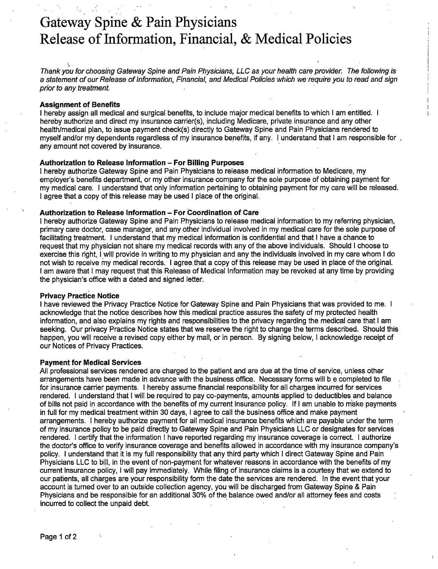# Gateway Spine & Pain Physicians Release of Information, Financial, & Medical Policies

Thank you for choosing Gateway Spine and Pain Physicians, LLC as your health care provider. The following is a statement of our Release of Information, Financial, and Medical Policies which we require you to read and sign prior to any treatment.

#### **Assignment of Benefits**

I hereby assign all medical and surgical benefits, to include major medical benefits to which I am entitled. I hereby authorize and direct my insurance carrier(s), including Medicare, private insurance and any other health/medical plan, to issue payment check(s) directly to Gateway Spine and Pain Physicians rendered to myself and/or my dependents regardless of my insurance benefits, if any. I understand that I am responsible for any amount not covered by insurance.

### Authorization to Release Information - For Billing Purposes

I hereby authorize Gateway Spine and Pain Physicians to release medical information to Medicare, my employer's benefits department, or my other insurance company for the sole purpose of obtaining payment for my medical care. I understand that only information pertaining to obtaining payment for my care will be released. I agree that a copy of this release may be used I place of the original.

#### Authorization to Release Information - For Coordination of Care

I hereby authorize Gateway Spine and Pain Physicians to release medical information to my referring physician, primary care doctor, case manager, and any other individual involved in my medical care for the sole purpose of facilitating treatment. I understand that my medical information is confidential and that I have a chance to request that my physician not share my medical records with any of the above individuals. Should I choose to exercise this right, I will provide in writing to my physician and any the individuals involved in my care whom I do not wish to receive my medical records. I agree that a copy of this release may be used in place of the original. I am aware that I may request that this Release of Medical Information may be revoked at any time by providing the physician's office with a dated and signed letter.

#### **Privacy Practice Notice**

I have reviewed the Privacy Practice Notice for Gateway Spine and Pain Physicians that was provided to me. I acknowledge that the notice describes how this medical practice assures the safety of my protected health information, and also explains my rights and responsibilities to the privacy regarding the medical care that I am seeking. Our privacy Practice Notice states that we reserve the right to change the terms described. Should this happen, you will receive a revised copy either by mail, or in person. By signing below, I acknowledge receipt of our Notices of Privacy Practices.

#### **Payment for Medical Services**

All professional services rendered are charged to the patient and are due at the time of service, unless other arrangements have been made in advance with the business office. Necessary forms will be completed to file for insurance carrier payments. I hereby assume financial responsibility for all charges incurred for services rendered. I understand that I will be required to pay co-payments, amounts applied to deductibles and balance of bills not paid in accordance with the benefits of my current insurance policy. If I am unable to make payments in full for my medical treatment within 30 days, I agree to call the business office and make payment arrangements. I hereby authorize payment for all medical insurance benefits which are payable under the term of my insurance policy to be paid directly to Gateway Spine and Pain Physicians LLC or designates for services rendered. I certify that the information I have reported regarding my insurance coverage is correct. I authorize the doctor's office to verify insurance coverage and benefits allowed in accordance with my insurance company's policy. I understand that it is my full responsibility that any third party which I direct Gateway Spine and Pain Physicians LLC to bill, in the event of non-payment for whatever reasons in accordance with the benefits of my current insurance policy, I will pay immediately. While filing of insurance claims is a courtesy that we extend to our patients, all charges are your responsibility form the date the services are rendered. In the event that your account is turned over to an outside collection agency, you will be discharged from Gateway Spine & Pain Physicians and be responsible for an additional 30% of the balance owed and/or all attorney fees and costs incurred to collect the unpaid debt.